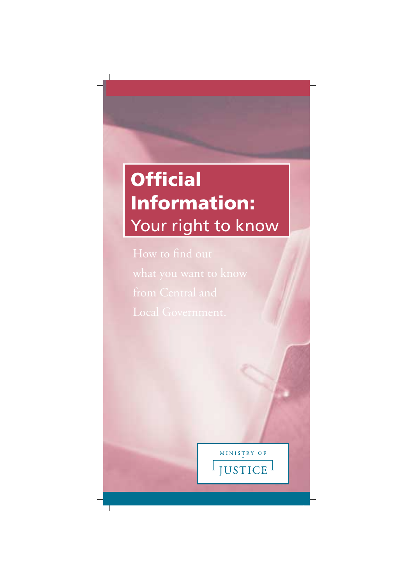# **Official Information:** Your right to know

How to find out from Central and

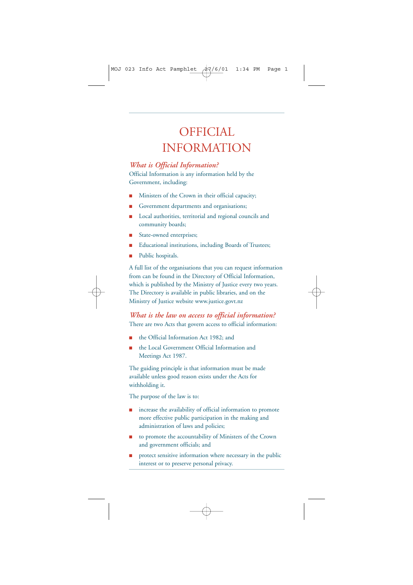## OFFICIAL INFORMATION

#### *What is Official Information?*

Official Information is any information held by the Government, including:

- Ministers of the Crown in their official capacity;
- Government departments and organisations;
- Local authorities, territorial and regional councils and community boards;
- State-owned enterprises;
- Educational institutions, including Boards of Trustees;
- Public hospitals.

A full list of the organisations that you can request information from can be found in the Directory of Official Information, which is published by the Ministry of Justice every two years. The Directory is available in public libraries, and on the Ministry of Justice website www.justice.govt.nz

*What is the law on access to official information?* There are two Acts that govern access to official information:

- the Official Information Act 1982; and
- the Local Government Official Information and Meetings Act 1987.

The guiding principle is that information must be made available unless good reason exists under the Acts for withholding it.

The purpose of the law is to:

- increase the availability of official information to promote more effective public participation in the making and administration of laws and policies;
- to promote the accountability of Ministers of the Crown and government officials; and
- protect sensitive information where necessary in the public interest or to preserve personal privacy.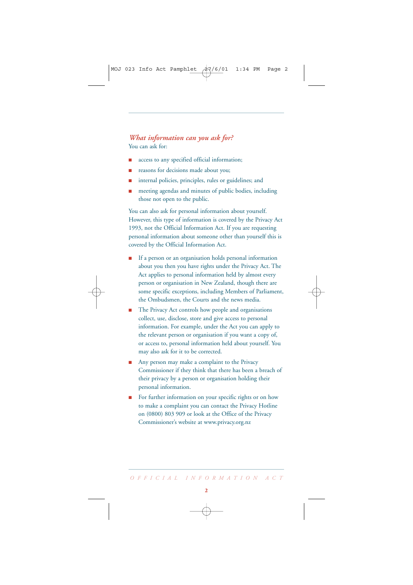#### *What information can you ask for?* You can ask for:

- access to any specified official information;
- reasons for decisions made about you;
- internal policies, principles, rules or guidelines; and
- meeting agendas and minutes of public bodies, including those not open to the public.

You can also ask for personal information about yourself. However, this type of information is covered by the Privacy Act 1993, not the Official Information Act. If you are requesting personal information about someone other than yourself this is covered by the Official Information Act.

- If a person or an organisation holds personal information about you then you have rights under the Privacy Act. The Act applies to personal information held by almost every person or organisation in New Zealand, though there are some specific exceptions, including Members of Parliament, the Ombudsmen, the Courts and the news media.
- The Privacy Act controls how people and organisations collect, use, disclose, store and give access to personal information. For example, under the Act you can apply to the relevant person or organisation if you want a copy of, or access to, personal information held about yourself. You may also ask for it to be corrected.
- Any person may make a complaint to the Privacy Commissioner if they think that there has been a breach of their privacy by a person or organisation holding their personal information.
- For further information on your specific rights or on how to make a complaint you can contact the Privacy Hotline on (0800) 803 909 or look at the Office of the Privacy Commissioner's website at www.privacy.org.nz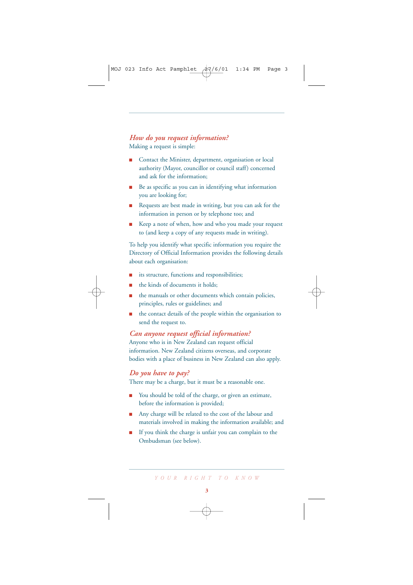#### *How do you request information?* Making a request is simple:

- Contact the Minister, department, organisation or local authority (Mayor, councillor or council staff) concerned and ask for the information;
- Be as specific as you can in identifying what information you are looking for;
- Requests are best made in writing, but you can ask for the information in person or by telephone too; and
- Keep a note of when, how and who you made your request to (and keep a copy of any requests made in writing).

To help you identify what specific information you require the Directory of Official Information provides the following details about each organisation:

- its structure, functions and responsibilities;
- the kinds of documents it holds:
- the manuals or other documents which contain policies, principles, rules or guidelines; and
- the contact details of the people within the organisation to send the request to.

#### *Can anyone request official information?*

Anyone who is in New Zealand can request official information. New Zealand citizens overseas, and corporate bodies with a place of business in New Zealand can also apply.

#### *Do you have to pay?*

There may be a charge, but it must be a reasonable one.

- You should be told of the charge, or given an estimate, before the information is provided;
- Any charge will be related to the cost of the labour and materials involved in making the information available; and
- If you think the charge is unfair you can complain to the Ombudsman (see below).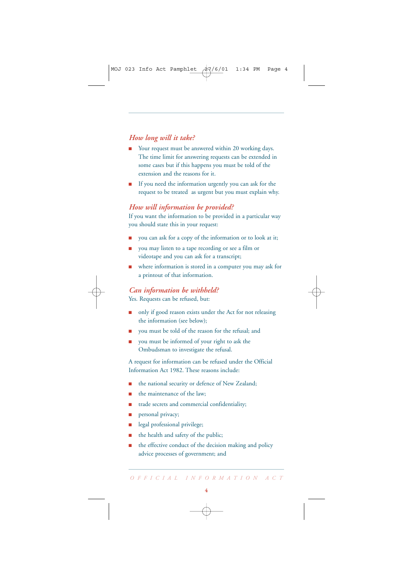#### *How long will it take?*

- Your request must be answered within 20 working days. The time limit for answering requests can be extended in some cases but if this happens you must be told of the extension and the reasons for it.
- If you need the information urgently you can ask for the request to be treated as urgent but you must explain why.

#### *How will information be provided?*

If you want the information to be provided in a particular way you should state this in your request:

- you can ask for a copy of the information or to look at it;
- you may listen to a tape recording or see a film or videotape and you can ask for a transcript;
- where information is stored in a computer you may ask for a printout of that information.

### *Can information be withheld?*

Yes. Requests can be refused, but:

- only if good reason exists under the Act for not releasing the information (see below);
- you must be told of the reason for the refusal; and
- you must be informed of your right to ask the Ombudsman to investigate the refusal.

A request for information can be refused under the Official Information Act 1982. These reasons include:

- the national security or defence of New Zealand;
- the maintenance of the law:
- trade secrets and commercial confidentiality;
- personal privacy;
- legal professional privilege;
- the health and safety of the public;
- the effective conduct of the decision making and policy advice processes of government; and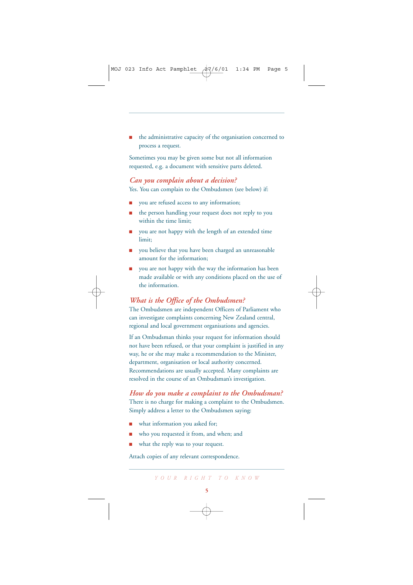the administrative capacity of the organisation concerned to process a request.

Sometimes you may be given some but not all information requested, e.g. a document with sensitive parts deleted.

#### *Can you complain about a decision?* Yes. You can complain to the Ombudsmen (see below) if:

- you are refused access to any information;
- the person handling your request does not reply to you within the time limit;
- you are not happy with the length of an extended time limit;
- you believe that you have been charged an unreasonable amount for the information;
- you are not happy with the way the information has been made available or with any conditions placed on the use of the information.

#### *What is the Office of the Ombudsmen?*

The Ombudsmen are independent Officers of Parliament who can investigate complaints concerning New Zealand central, regional and local government organisations and agencies.

If an Ombudsman thinks your request for information should not have been refused, or that your complaint is justified in any way, he or she may make a recommendation to the Minister, department, organisation or local authority concerned. Recommendations are usually accepted. Many complaints are resolved in the course of an Ombudsman's investigation.

*How do you make a complaint to the Ombudsman?* There is no charge for making a complaint to the Ombudsmen. Simply address a letter to the Ombudsmen saying:

- what information you asked for;
- who you requested it from, and when; and
- what the reply was to your request.

Attach copies of any relevant correspondence.